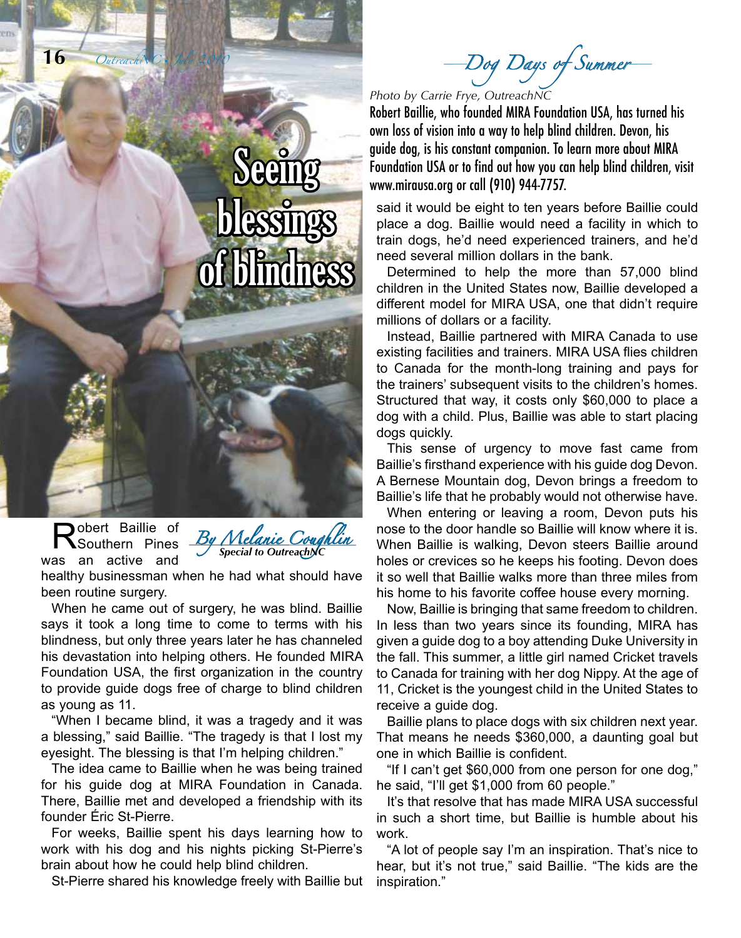

Robert Baillie, who founded MIRA Foundation USA, has turned his own loss of vision into a way to help blind children. Devon, his guide dog, is his constant companion. To learn more about MIRA Foundation USA or to find out how you can help blind children, visit www.mirausa.org or call (910) 944-7757.

said it would be eight to ten years before Baillie could place a dog. Baillie would need a facility in which to train dogs, he'd need experienced trainers, and he'd need several million dollars in the bank.

Determined to help the more than 57,000 blind children in the United States now, Baillie developed a different model for MIRA USA, one that didn't require millions of dollars or a facility.

Instead, Baillie partnered with MIRA Canada to use existing facilities and trainers. MIRA USA flies children to Canada for the month-long training and pays for the trainers' subsequent visits to the children's homes. Structured that way, it costs only \$60,000 to place a dog with a child. Plus, Baillie was able to start placing dogs quickly.

This sense of urgency to move fast came from Baillie's firsthand experience with his guide dog Devon. A Bernese Mountain dog, Devon brings a freedom to Baillie's life that he probably would not otherwise have.

When entering or leaving a room, Devon puts his nose to the door handle so Baillie will know where it is. When Baillie is walking, Devon steers Baillie around holes or crevices so he keeps his footing. Devon does it so well that Baillie walks more than three miles from his home to his favorite coffee house every morning.

Now, Baillie is bringing that same freedom to children. In less than two years since its founding, MIRA has given a guide dog to a boy attending Duke University in the fall. This summer, a little girl named Cricket travels to Canada for training with her dog Nippy. At the age of 11, Cricket is the youngest child in the United States to receive a guide dog.

Baillie plans to place dogs with six children next year. That means he needs \$360,000, a daunting goal but one in which Baillie is confident.

"If I can't get \$60,000 from one person for one dog," he said, "I'll get \$1,000 from 60 people."

It's that resolve that has made MIRA USA successful in such a short time, but Baillie is humble about his work.

"A lot of people say I'm an inspiration. That's nice to hear, but it's not true," said Baillie. "The kids are the inspiration."

Robert Baillie of Southern Pines was an active and

**16** *OutreachNC* • *July 2010*



blessings

of blindness

healthy businessman when he had what should have been routine surgery.

When he came out of surgery, he was blind. Baillie says it took a long time to come to terms with his blindness, but only three years later he has channeled his devastation into helping others. He founded MIRA Foundation USA, the first organization in the country to provide guide dogs free of charge to blind children as young as 11.

"When I became blind, it was a tragedy and it was a blessing," said Baillie. "The tragedy is that I lost my eyesight. The blessing is that I'm helping children."

The idea came to Baillie when he was being trained for his guide dog at MIRA Foundation in Canada. There, Baillie met and developed a friendship with its founder Éric St-Pierre.

For weeks, Baillie spent his days learning how to work with his dog and his nights picking St-Pierre's brain about how he could help blind children.

St-Pierre shared his knowledge freely with Baillie but